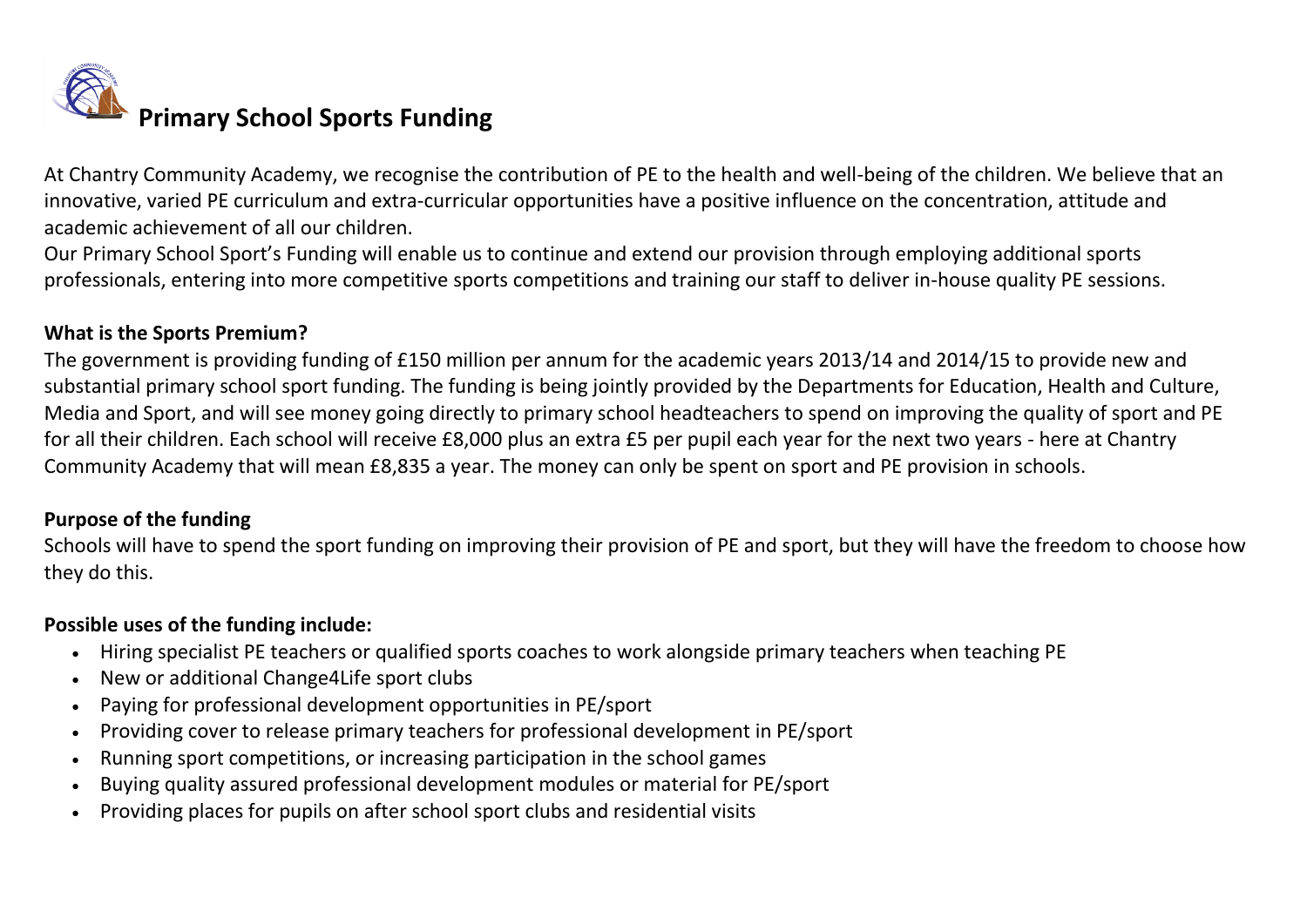

At Chantry Community Academy, we recognise the contribution of PE to the health and well-being of the children. We believe that an innovative, varied PE curriculum and extra-curricular opportunities have a positive influence on the concentration, attitude and academic achievement of all our children.

Our Primary School Sport's Funding will enable us to continue and extend our provision through employing additional sports professionals, entering into more competitive sports competitions and training our staff to deliver in-house quality PE sessions.

## **What is the Sports Premium?**

The government is providing funding of £150 million per annum for the academic years 2013/14 and 2014/15 to provide new and substantial primary school sport funding. The funding is being jointly provided by the Departments for Education, Health and Culture, Media and Sport, and will see money going directly to primary school headteachers to spend on improving the quality of sport and PE for all their children. Each school will receive £8,000 plus an extra £5 per pupil each year for the next two years - here at Chantry Community Academy that will mean £8,835 a year. The money can only be spent on sport and PE provision in schools.

## **Purpose of the funding**

Schools will have to spend the sport funding on improving their provision of PE and sport, but they will have the freedom to choose how they do this.

## **Possible uses of the funding include:**

- Hiring specialist PE teachers or qualified sports coaches to work alongside primary teachers when teaching PE
- New or additional Change4Life sport clubs
- Paying for professional development opportunities in PE/sport
- Providing cover to release primary teachers for professional development in PE/sport
- Running sport competitions, or increasing participation in the school games
- Buying quality assured professional development modules or material for PE/sport
- Providing places for pupils on after school sport clubs and residential visits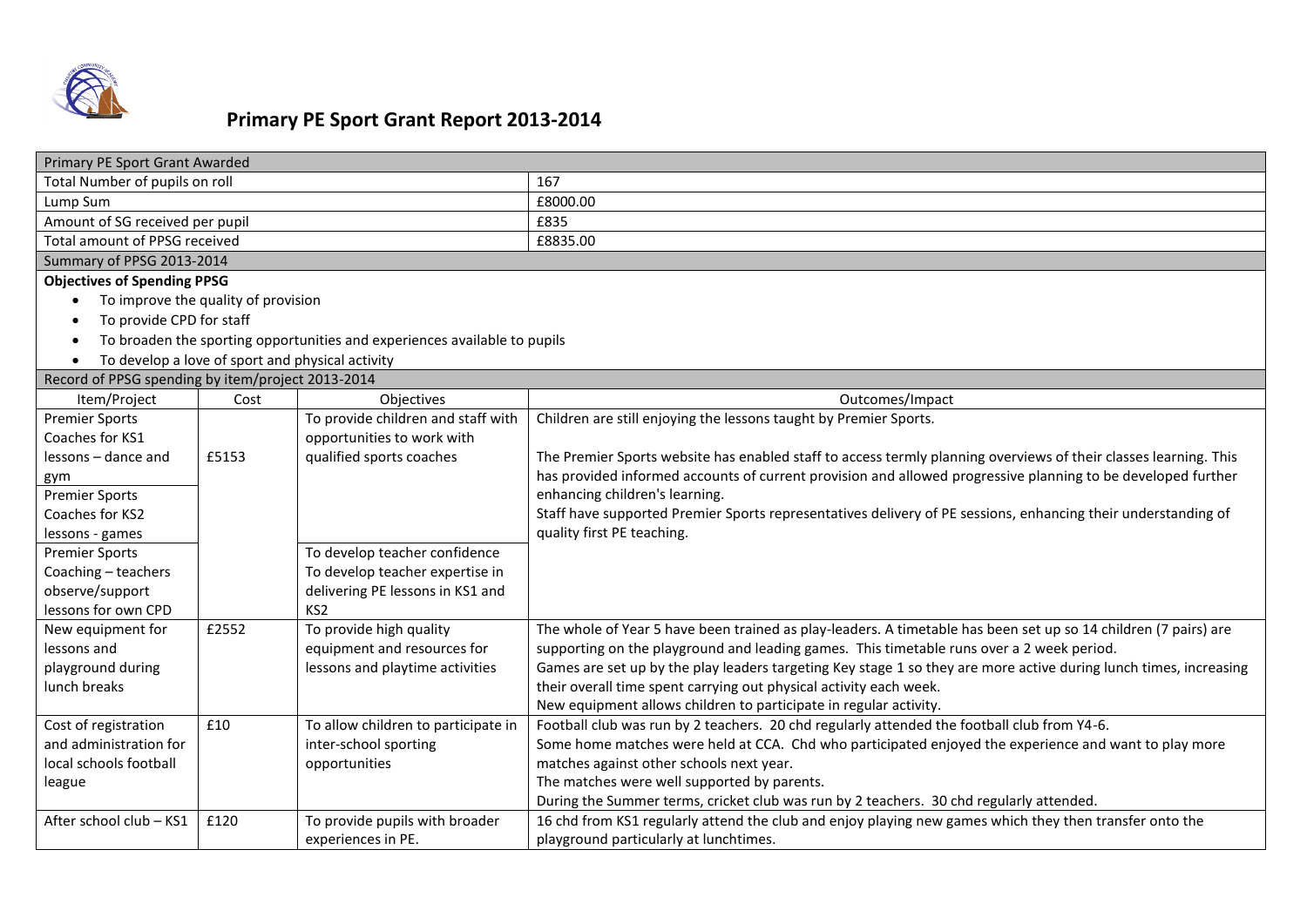

## **Primary PE Sport Grant Report 2013-2014**

| Primary PE Sport Grant Awarded                                            |       |                                                     |                                                                                                                   |  |  |
|---------------------------------------------------------------------------|-------|-----------------------------------------------------|-------------------------------------------------------------------------------------------------------------------|--|--|
| Total Number of pupils on roll                                            |       |                                                     | 167                                                                                                               |  |  |
| Lump Sum                                                                  |       |                                                     | £8000.00                                                                                                          |  |  |
| Amount of SG received per pupil                                           |       |                                                     | £835                                                                                                              |  |  |
| Total amount of PPSG received                                             |       |                                                     | £8835.00                                                                                                          |  |  |
| Summary of PPSG 2013-2014                                                 |       |                                                     |                                                                                                                   |  |  |
| <b>Objectives of Spending PPSG</b>                                        |       |                                                     |                                                                                                                   |  |  |
| To improve the quality of provision                                       |       |                                                     |                                                                                                                   |  |  |
| To provide CPD for staff                                                  |       |                                                     |                                                                                                                   |  |  |
| To broaden the sporting opportunities and experiences available to pupils |       |                                                     |                                                                                                                   |  |  |
| $\bullet$                                                                 |       | To develop a love of sport and physical activity    |                                                                                                                   |  |  |
| Record of PPSG spending by item/project 2013-2014                         |       |                                                     |                                                                                                                   |  |  |
| Item/Project                                                              | Cost  | Objectives                                          | Outcomes/Impact                                                                                                   |  |  |
| <b>Premier Sports</b>                                                     |       | To provide children and staff with                  | Children are still enjoying the lessons taught by Premier Sports.                                                 |  |  |
| Coaches for KS1                                                           |       | opportunities to work with                          |                                                                                                                   |  |  |
| lessons – dance and                                                       | £5153 | qualified sports coaches                            | The Premier Sports website has enabled staff to access termly planning overviews of their classes learning. This  |  |  |
| gym                                                                       |       |                                                     | has provided informed accounts of current provision and allowed progressive planning to be developed further      |  |  |
| <b>Premier Sports</b>                                                     |       |                                                     | enhancing children's learning.                                                                                    |  |  |
| Coaches for KS2                                                           |       |                                                     | Staff have supported Premier Sports representatives delivery of PE sessions, enhancing their understanding of     |  |  |
| lessons - games                                                           |       |                                                     | quality first PE teaching.                                                                                        |  |  |
| <b>Premier Sports</b>                                                     |       | To develop teacher confidence                       |                                                                                                                   |  |  |
| Coaching - teachers                                                       |       | To develop teacher expertise in                     |                                                                                                                   |  |  |
| observe/support<br>lessons for own CPD                                    |       | delivering PE lessons in KS1 and<br>KS <sub>2</sub> |                                                                                                                   |  |  |
| New equipment for                                                         | £2552 | To provide high quality                             | The whole of Year 5 have been trained as play-leaders. A timetable has been set up so 14 children (7 pairs) are   |  |  |
| lessons and                                                               |       | equipment and resources for                         | supporting on the playground and leading games. This timetable runs over a 2 week period.                         |  |  |
| playground during                                                         |       | lessons and playtime activities                     | Games are set up by the play leaders targeting Key stage 1 so they are more active during lunch times, increasing |  |  |
| lunch breaks                                                              |       |                                                     | their overall time spent carrying out physical activity each week.                                                |  |  |
|                                                                           |       |                                                     | New equipment allows children to participate in regular activity.                                                 |  |  |
| Cost of registration                                                      | £10   | To allow children to participate in                 | Football club was run by 2 teachers. 20 chd regularly attended the football club from Y4-6.                       |  |  |
| and administration for                                                    |       | inter-school sporting                               | Some home matches were held at CCA. Chd who participated enjoyed the experience and want to play more             |  |  |
| local schools football                                                    |       | opportunities                                       | matches against other schools next year.                                                                          |  |  |
| league                                                                    |       |                                                     | The matches were well supported by parents.                                                                       |  |  |
|                                                                           |       |                                                     | During the Summer terms, cricket club was run by 2 teachers. 30 chd regularly attended.                           |  |  |
| After school club - KS1                                                   | £120  | To provide pupils with broader                      | 16 chd from KS1 regularly attend the club and enjoy playing new games which they then transfer onto the           |  |  |
|                                                                           |       | experiences in PE.                                  | playground particularly at lunchtimes.                                                                            |  |  |